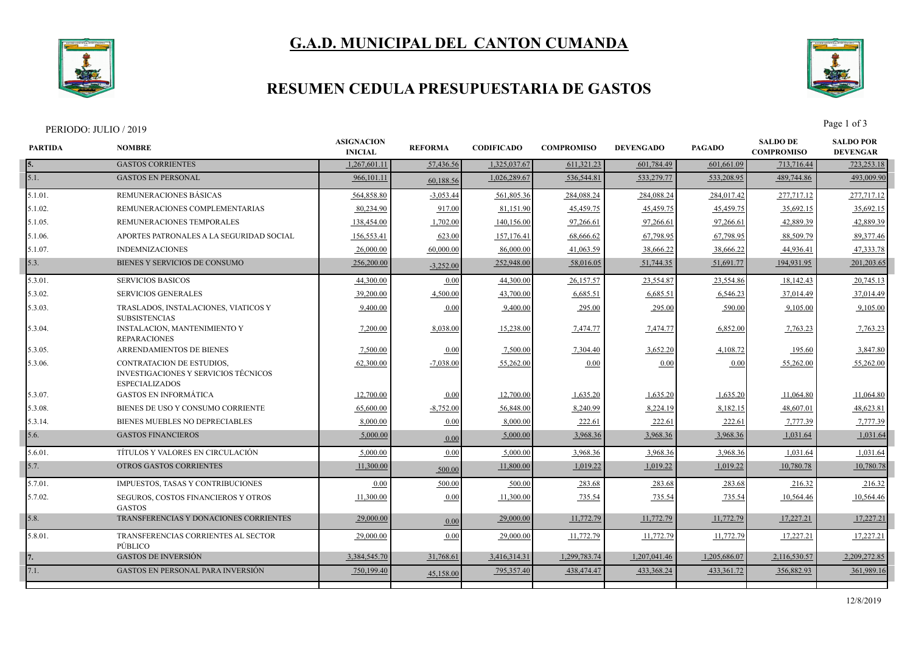

# **G.A.D. MUNICIPAL DEL CANTON CUMANDA**

### **RESUMEN CEDULA PRESUPUESTARIA DE GASTOS**



#### PERIODO: JULIO / 2019 Page 1 of 3

| <b>PARTIDA</b> | <b>NOMBRE</b>                                                                              | <b>ASIGNACION</b><br><b>INICIAL</b> | <b>REFORMA</b> | <b>CODIFICADO</b> | <b>COMPROMISO</b> | <b>DEVENGADO</b> | <b>PAGADO</b> | <b>SALDO DE</b><br><b>COMPROMISO</b> | <b>SALDO POR</b><br><b>DEVENGAR</b> |
|----------------|--------------------------------------------------------------------------------------------|-------------------------------------|----------------|-------------------|-------------------|------------------|---------------|--------------------------------------|-------------------------------------|
| 5.             | <b>GASTOS CORRIENTES</b>                                                                   | 1,267,601.11                        | 57,436.56      | 1,325,037.67      | 611,321.23        | 601,784.49       | 601,661.09    | 713,716.44                           | 723,253.18                          |
| 5.1.           | <b>GASTOS EN PERSONAL</b>                                                                  | 966,101.11                          | 60,188.56      | 1,026,289.67      | 536,544.81        | 533,279.77       | 533,208.95    | 489,744.86                           | 493,009.90                          |
| 5.1.01.        | REMUNERACIONES BÁSICAS                                                                     | 564,858.80                          | $-3,053.44$    | 561,805.36        | 284,088.24        | 284,088.24       | 284,017.42    | 277,717.12                           | 277,717.12                          |
| 5.1.02.        | REMUNERACIONES COMPLEMENTARIAS                                                             | 80.234.90                           | 917.00         | 81,151.90         | 45,459.75         | 45,459.75        | 45.459.75     | 35,692.15                            | 35,692.15                           |
| 5.1.05.        | REMUNERACIONES TEMPORALES                                                                  | 138,454.00                          | 1,702.00       | 140,156.00        | 97,266.61         | 97,266.61        | 97,266.61     | 42,889.39                            | 42,889.39                           |
| 5.1.06.        | APORTES PATRONALES A LA SEGURIDAD SOCIAL                                                   | 156,553.41                          | 623.00         | 157,176.41        | 68,666.62         | 67,798.95        | 67,798.95     | 88,509.79                            | 89,377.46                           |
| 5.1.07.        | <b>INDEMNIZACIONES</b>                                                                     | 26,000.00                           | 60,000.00      | 86,000.00         | 41,063.59         | 38,666.22        | 38,666.22     | 44,936.41                            | 47,333.78                           |
| 5.3.           | BIENES Y SERVICIOS DE CONSUMO                                                              | 256,200.00                          | $-3,252.00$    | 252,948.00        | 58,016.05         | 51,744.35        | 51,691.77     | 194,931.95                           | 201,203.65                          |
| 5.3.01.        | <b>SERVICIOS BASICOS</b>                                                                   | 44,300.00                           | 0.00           | 44,300.00         | 26,157.57         | 23,554.87        | 23,554.86     | 18,142.43                            | 20,745.13                           |
| 5.3.02.        | <b>SERVICIOS GENERALES</b>                                                                 | 39,200.00                           | 4,500.00       | 43,700.00         | 6,685.51          | 6,685.51         | 6,546.23      | 37,014.49                            | 37,014.49                           |
| 5.3.03.        | TRASLADOS, INSTALACIONES, VIATICOS Y<br><b>SUBSISTENCIAS</b>                               | 9,400.00                            | 0.00           | 9,400.00          | 295.00            | 295.00           | 590.00        | 9,105.00                             | 9,105.00                            |
| 5.3.04.        | <b>INSTALACION, MANTENIMIENTO Y</b><br><b>REPARACIONES</b>                                 | 7,200.00                            | 8,038.00       | 15,238.00         | 7,474.77          | 7,474.77         | 6,852.00      | 7,763.23                             | 7,763.23                            |
| 5.3.05.        | ARRENDAMIENTOS DE BIENES                                                                   | 7,500.00                            | 0.00           | 7,500.00          | 7,304.40          | 3,652.20         | 4,108.72      | 195.60                               | 3,847.80                            |
| 5.3.06.        | CONTRATACION DE ESTUDIOS.<br>INVESTIGACIONES Y SERVICIOS TÉCNICOS<br><b>ESPECIALIZADOS</b> | 62,300.00                           | $-7.038.00$    | 55,262.00         | 0.00              | 0.00             | 0.00          | 55,262.00                            | 55,262.00                           |
| 5.3.07.        | <b>GASTOS EN INFORMÁTICA</b>                                                               | 12,700.00                           | 0.00           | 12,700.00         | 1,635.20          | 1,635.20         | 1,635.20      | 11,064.80                            | 11,064.80                           |
| 5.3.08.        | BIENES DE USO Y CONSUMO CORRIENTE                                                          | 65,600.00                           | $-8,752.00$    | 56,848.00         | 8,240.99          | 8,224.19         | 8,182.15      | 48,607.01                            | 48,623.81                           |
| 5.3.14.        | BIENES MUEBLES NO DEPRECIABLES                                                             | 8,000.00                            | 0.00           | 8,000.00          | 222.61            | 222.61           | 222.61        | 7.777.39                             | 7,777.39                            |
| 5.6.           | <b>GASTOS FINANCIEROS</b>                                                                  | 5,000.00                            | 0.00           | 5,000.00          | 3,968.36          | 3,968.36         | 3,968.36      | 1,031.64                             | 1,031.64                            |
| 5.6.01.        | TÍTULOS Y VALORES EN CIRCULACIÓN                                                           | 5,000.00                            | 0.00           | 5,000.00          | 3.968.36          | 3,968.36         | 3,968.36      | 1,031.64                             | 1,031.64                            |
| 5.7.           | OTROS GASTOS CORRIENTES                                                                    | 11,300.00                           | 500.00         | 11,800.00         | 1,019.22          | 1,019.22         | 1,019.22      | 10,780.78                            | 10,780.78                           |
| 5.7.01.        | IMPUESTOS, TASAS Y CONTRIBUCIONES                                                          | 0.00                                | 500.00         | 500.00            | 283.68            | 283.68           | 283.68        | 216.32                               | 216.32                              |
| 5.7.02.        | <b>SEGUROS, COSTOS FINANCIEROS Y OTROS</b><br><b>GASTOS</b>                                | 11,300.00                           | 0.00           | 11,300.00         | 735.54            | 735.54           | 735.54        | 10,564.46                            | 10,564.46                           |
| 5.8.           | TRANSFERENCIAS Y DONACIONES CORRIENTES                                                     | 29,000.00                           | 0.00           | 29,000.00         | 11,772.79         | 11,772.79        | 11,772.79     | 17,227.21                            | 17,227.21                           |
| 5.8.01.        | TRANSFERENCIAS CORRIENTES AL SECTOR<br>PÚBLICO                                             | 29,000.00                           | 0.00           | 29,000.00         | 11,772.79         | 11,772.79        | 11,772.79     | 17,227.21                            | 17,227.21                           |
|                | <b>GASTOS DE INVERSIÓN</b>                                                                 | 3,384,545.70                        | 31,768.61      | 3,416,314.31      | 1,299,783.74      | 1,207,041.46     | 1,205,686.07  | 2,116,530.57                         | 2,209,272.85                        |
| 7.1.           | <b>GASTOS EN PERSONAL PARA INVERSIÓN</b>                                                   | 750,199.40                          | 45,158.00      | 795,357.40        | 438,474.47        | 433,368.24       | 433,361.72    | 356,882.93                           | 361,989.16                          |
|                |                                                                                            |                                     |                |                   |                   |                  |               |                                      |                                     |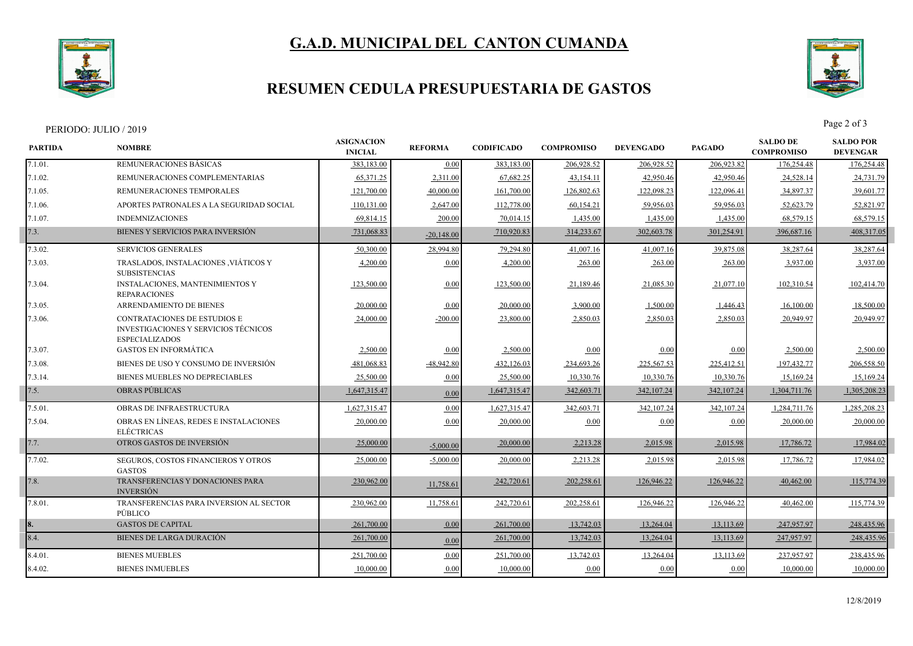

# **G.A.D. MUNICIPAL DEL CANTON CUMANDA**

### **RESUMEN CEDULA PRESUPUESTARIA DE GASTOS**



PERIODO: JULIO / 2019<br>Page 2 of 3

| <b>PARTIDA</b> | <b>NOMBRE</b>                                                                                               | <b>ASIGNACION</b><br><b>INICIAL</b> | <b>REFORMA</b> | <b>CODIFICADO</b> | <b>COMPROMISO</b> | <b>DEVENGADO</b> | <b>PAGADO</b> | <b>SALDO DE</b><br><b>COMPROMISO</b> | <b>SALDO POR</b><br><b>DEVENGAR</b> |
|----------------|-------------------------------------------------------------------------------------------------------------|-------------------------------------|----------------|-------------------|-------------------|------------------|---------------|--------------------------------------|-------------------------------------|
| 7.1.01.        | REMUNERACIONES BÁSICAS                                                                                      | 383,183.00                          | 0.00           | 383,183.00        | 206,928.52        | 206,928.52       | 206,923.82    | 176,254.48                           | 176,254.48                          |
| 7.1.02.        | REMUNERACIONES COMPLEMENTARIAS                                                                              | 65,371.25                           | 2,311.00       | 67,682.25         | 43,154.11         | 42,950.46        | 42,950.46     | 24,528.14                            | 24,731.79                           |
| 7.1.05.        | REMUNERACIONES TEMPORALES                                                                                   | 121,700.00                          | 40,000.00      | 161,700.00        | 126,802.63        | 122,098.23       | 122,096.41    | 34,897.37                            | 39,601.77                           |
| 7.1.06.        | APORTES PATRONALES A LA SEGURIDAD SOCIAL                                                                    | 110,131.00                          | 2,647.00       | 112,778.00        | 60,154.21         | 59,956.03        | 59,956.03     | 52,623.79                            | 52,821.97                           |
| 7.1.07.        | <b>INDEMNIZACIONES</b>                                                                                      | 69.814.15                           | 200.00         | 70,014.15         | 1,435.00          | 1,435.00         | 1,435.00      | 68,579.15                            | 68,579.15                           |
| 7.3.           | BIENES Y SERVICIOS PARA INVERSIÓN                                                                           | 731,068.83                          | $-20,148.00$   | 710,920.83        | 314,233.67        | 302,603.78       | 301,254.91    | 396,687.16                           | 408,317.05                          |
| 7.3.02.        | <b>SERVICIOS GENERALES</b>                                                                                  | 50,300.00                           | 28,994.80      | 79,294.80         | 41,007.16         | 41,007.16        | 39,875.08     | 38,287.64                            | 38,287.64                           |
| 7.3.03.        | TRASLADOS, INSTALACIONES , VIÁTICOS Y<br><b>SUBSISTENCIAS</b>                                               | 4,200.00                            | 0.00           | 4,200.00          | 263.00            | 263.00           | 263.00        | 3,937.00                             | 3,937.00                            |
| 7.3.04.        | <b>INSTALACIONES, MANTENIMIENTOS Y</b><br><b>REPARACIONES</b>                                               | 123,500.00                          | 0.00           | 123,500.00        | 21,189.46         | 21,085.30        | 21,077.10     | 102,310.54                           | 102,414.70                          |
| 7.3.05.        | ARRENDAMIENTO DE BIENES                                                                                     | 20,000.00                           | 0.00           | 20,000.00         | 3,900.00          | 1,500.00         | 1,446.43      | 16,100.00                            | 18,500.00                           |
| 7.3.06.        | <b>CONTRATACIONES DE ESTUDIOS E</b><br><b>INVESTIGACIONES Y SERVICIOS TÉCNICOS</b><br><b>ESPECIALIZADOS</b> | 24,000.00                           | $-200.00$      | 23,800.00         | 2,850.03          | 2,850.03         | 2,850.03      | 20,949.97                            | 20,949.97                           |
| 7.3.07.        | <b>GASTOS EN INFORMÁTICA</b>                                                                                | 2,500.00                            | 0.00           | 2,500.00          | 0.00              | 0.00             | 0.00          | 2,500.00                             | 2,500.00                            |
| 7.3.08.        | BIENES DE USO Y CONSUMO DE INVERSIÓN                                                                        | 481,068.83                          | $-48,942.80$   | 432,126.03        | 234,693.26        | 225,567.53       | 225,412.51    | 197,432.77                           | 206,558.50                          |
| 7.3.14.        | BIENES MUEBLES NO DEPRECIABLES                                                                              | 25,500.00                           | 0.00           | 25,500.00         | 10,330.76         | 10,330.76        | 10,330.76     | 15,169.24                            | 15,169.24                           |
| 7.5.           | <b>OBRAS PUBLICAS</b>                                                                                       | 1.647.315.47                        | 0.00           | 1,647,315.47      | 342,603.71        | 342,107.24       | 342, 107.24   | 1,304,711.76                         | 1,305,208.23                        |
| 7.5.01.        | <b>OBRAS DE INFRAESTRUCTURA</b>                                                                             | 1,627,315.47                        | 0.00           | 1,627,315.47      | 342,603.71        | 342,107.24       | 342,107.24    | 1,284,711.76                         | 1,285,208.23                        |
| 7.5.04.        | OBRAS EN LÍNEAS, REDES E INSTALACIONES<br><b>ELÉCTRICAS</b>                                                 | 20,000.00                           | 0.00           | 20,000.00         | 0.00              | 0.00             | 0.00          | 20,000.00                            | 20,000.0                            |
| 7.7.           | OTROS GASTOS DE INVERSIÓN                                                                                   | 25,000.00                           | $-5,000.00$    | 20,000.00         | 2,213.28          | 2,015.98         | 2,015.98      | 17,786.72                            | 17,984.02                           |
| 7.7.02.        | SEGUROS, COSTOS FINANCIEROS Y OTROS<br><b>GASTOS</b>                                                        | 25,000.00                           | $-5,000.00$    | 20,000.00         | 2,213.28          | 2,015.98         | 2,015.98      | 17,786.72                            | 17,984.02                           |
| 7.8.           | <b>TRANSFERENCIAS Y DONACIONES PARA</b><br><b>INVERSIÓN</b>                                                 | 230,962.00                          | 11,758.61      | 242,720.61        | 202,258.61        | 126,946.22       | 126,946.22    | 40,462.00                            | 115,774.39                          |
| 7.8.01.        | TRANSFERENCIAS PARA INVERSION AL SECTOR<br>PÚBLICO                                                          | 230,962.00                          | 11,758.61      | 242,720.61        | 202,258.61        | 126,946.22       | 126,946.22    | 40,462.00                            | 115,774.39                          |
|                | <b>GASTOS DE CAPITAL</b>                                                                                    | 261,700.00                          | 0.00           | 261,700.00        | 13,742.03         | 13,264.04        | 13,113.69     | 247,957.97                           | 248,435.96                          |
| 8.4.           | <b>BIENES DE LARGA DURACIÓN</b>                                                                             | 261,700.00                          | 0.00           | 261,700.00        | 13,742.03         | 13,264.04        | 13,113.69     | 247,957.97                           | 248,435.96                          |
| 8.4.01.        | <b>BIENES MUEBLES</b>                                                                                       | 251,700.00                          | 0.00           | 251,700.00        | 13,742.03         | 13,264.04        | 13,113.69     | 237,957.97                           | 238,435.96                          |
| 8.4.02.        | <b>BIENES INMUEBLES</b>                                                                                     | 10,000.00                           | 0.00           | 10,000.00         | 0.00              | 0.00             | 0.00          | 10,000.00                            | 10,000.00                           |